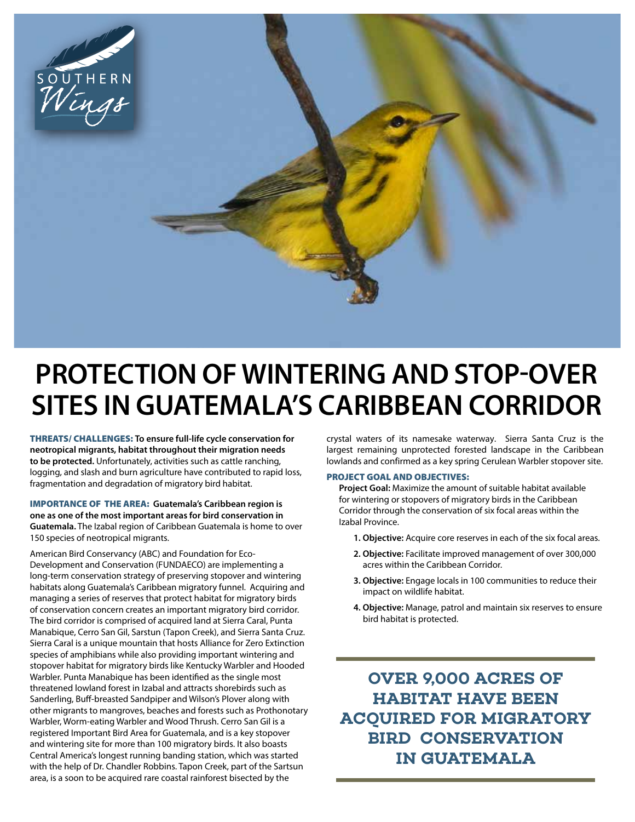

## **PROTECTION OF WINTERING AND STOP-OVER SITES IN GUATEMALA'S CARIBBEAN CORRIDOR**

THREATS/ CHALLENGES: **To ensure full-life cycle conservation for neotropical migrants, habitat throughout their migration needs to be protected.** Unfortunately, activities such as cattle ranching, logging, and slash and burn agriculture have contributed to rapid loss, fragmentation and degradation of migratory bird habitat.

IMPORTANCE OF THE AREA: **Guatemala's Caribbean region is one as one of the most important areas for bird conservation in Guatemala.** The Izabal region of Caribbean Guatemala is home to over 150 species of neotropical migrants.

American Bird Conservancy (ABC) and Foundation for Eco-Development and Conservation (FUNDAECO) are implementing a long-term conservation strategy of preserving stopover and wintering habitats along Guatemala's Caribbean migratory funnel. Acquiring and managing a series of reserves that protect habitat for migratory birds of conservation concern creates an important migratory bird corridor. The bird corridor is comprised of acquired land at Sierra Caral, Punta Manabique, Cerro San Gil, Sarstun (Tapon Creek), and Sierra Santa Cruz. Sierra Caral is a unique mountain that hosts Alliance for Zero Extinction species of amphibians while also providing important wintering and stopover habitat for migratory birds like Kentucky Warbler and Hooded Warbler. Punta Manabique has been identified as the single most threatened lowland forest in Izabal and attracts shorebirds such as Sanderling, Buff-breasted Sandpiper and Wilson's Plover along with other migrants to mangroves, beaches and forests such as Prothonotary Warbler, Worm-eating Warbler and Wood Thrush. Cerro San Gil is a registered Important Bird Area for Guatemala, and is a key stopover and wintering site for more than 100 migratory birds. It also boasts Central America's longest running banding station, which was started with the help of Dr. Chandler Robbins. Tapon Creek, part of the Sartsun area, is a soon to be acquired rare coastal rainforest bisected by the

crystal waters of its namesake waterway. Sierra Santa Cruz is the largest remaining unprotected forested landscape in the Caribbean lowlands and confirmed as a key spring Cerulean Warbler stopover site.

## PROJECT GOAL AND OBJECTIVES:

**Project Goal:** Maximize the amount of suitable habitat available for wintering or stopovers of migratory birds in the Caribbean Corridor through the conservation of six focal areas within the Izabal Province.

- **1. Objective:** Acquire core reserves in each of the six focal areas.
- **2. Objective:** Facilitate improved management of over 300,000 acres within the Caribbean Corridor.
- **3. Objective:** Engage locals in 100 communities to reduce their impact on wildlife habitat.
- **4. Objective:** Manage, patrol and maintain six reserves to ensure bird habitat is protected.

**OVER 9,000 ACRES OF HABITAT HAVE BEEN ACQUIRED FOR MIGRATORY BIRD CONSERVATION IN GUATEMALA**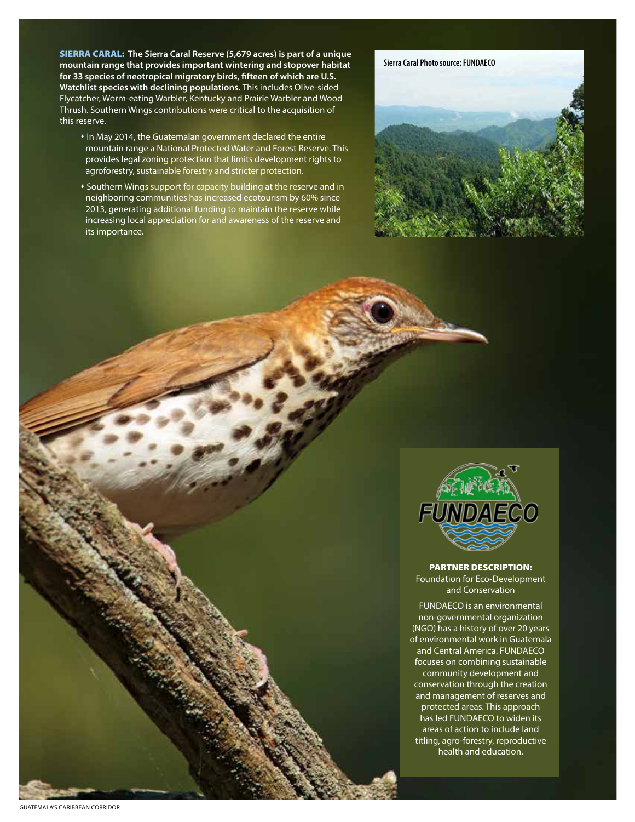SIERRA CARAL: **The Sierra Caral Reserve (5,679 acres) is part of a unique mountain range that provides important wintering and stopover habitat for 33 species of neotropical migratory birds, fifteen of which are U.S. Watchlist species with declining populations.** This includes Olive-sided Flycatcher, Worm-eating Warbler, Kentucky and Prairie Warbler and Wood Thrush. Southern Wings contributions were critical to the acquisition of this reserve.

- In May 2014, the Guatemalan government declared the entire mountain range a National Protected Water and Forest Reserve. This provides legal zoning protection that limits development rights to agroforestry, sustainable forestry and stricter protection.
- Southern Wings support for capacity building at the reserve and in neighboring communities has increased ecotourism by 60% since 2013, generating additional funding to maintain the reserve while increasing local appreciation for and awareness of the reserve and its importance.





## PARTNER DESCRIPTION:

Foundation for Eco-Development and Conservation

FUNDAECO is an environmental non-governmental organization (NGO) has a history of over 20 years of environmental work in Guatemala and Central America. FUNDAECO focuses on combining sustainable community development and conservation through the creation and management of reserves and protected areas. This approach has led FUNDAECO to widen its areas of action to include land titling, agro-forestry, reproductive health and education.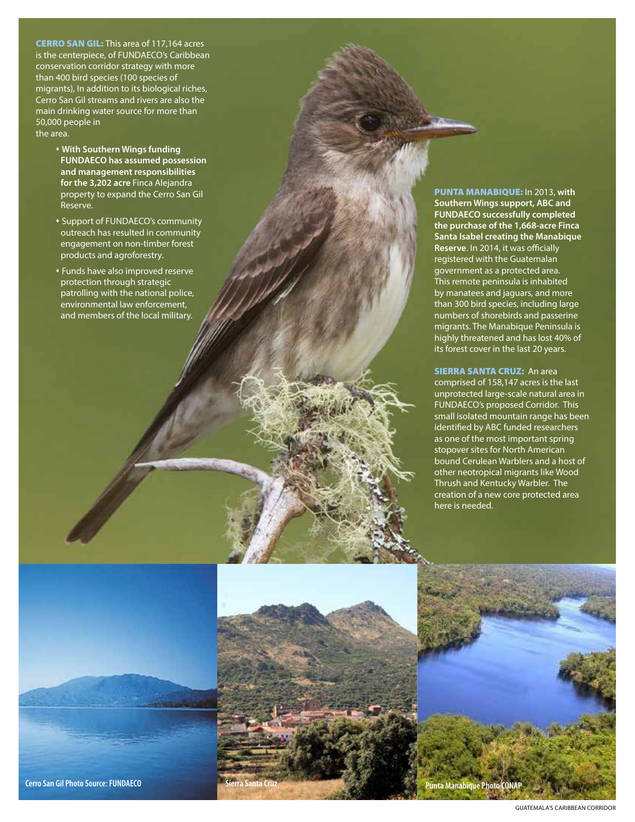**CERRO SAN GIL:** This area of 117,164 acres is the centerpiece, of FUNDAECO's Caribbean conservation corridor strategy with more than 400 bird species (100 species of migrants), In addition to its biological riches, Cerro San Gil streams and rivers are also the main drinking water source for more than 50,000 people in the area.

- **With Southern Wings funding FUNDAECO has assumed possession and management responsibilities for the 3,202 acre** Finca Alejandra property to expand the Cerro San Gil Reserve.
- Support of FUNDAECO's community outreach has resulted in community engagement on non-timber forest products and agroforestry.
- Funds have also improved reserve protection through strategic patrolling with the national police, environmental law enforcement, and members of the local military.

PUNTA MANABIQUE: In 2013, **with Southern Wings support, ABC and FUNDAECO successfully completed the purchase of the 1,668-acre Finca Santa Isabel creating the Manabique Reserve**. In 2014, it was officially registered with the Guatemalan government as a protected area. This remote peninsula is inhabited by manatees and jaguars, and more than 300 bird species, including large numbers of shorebirds and passerine migrants. The Manabique Peninsula is highly threatened and has lost 40% of its forest cover in the last 20 years.

SIERRA SANTA CRUZ: An area comprised of 158,147 acres is the last unprotected large-scale natural area in FUNDAECO's proposed Corridor. This small isolated mountain range has been identified by ABC funded researchers as one of the most important spring stopover sites for North American bound Cerulean Warblers and a host of other neotropical migrants like Wood Thrush and Kentucky Warbler. The creation of a new core protected area here is needed.